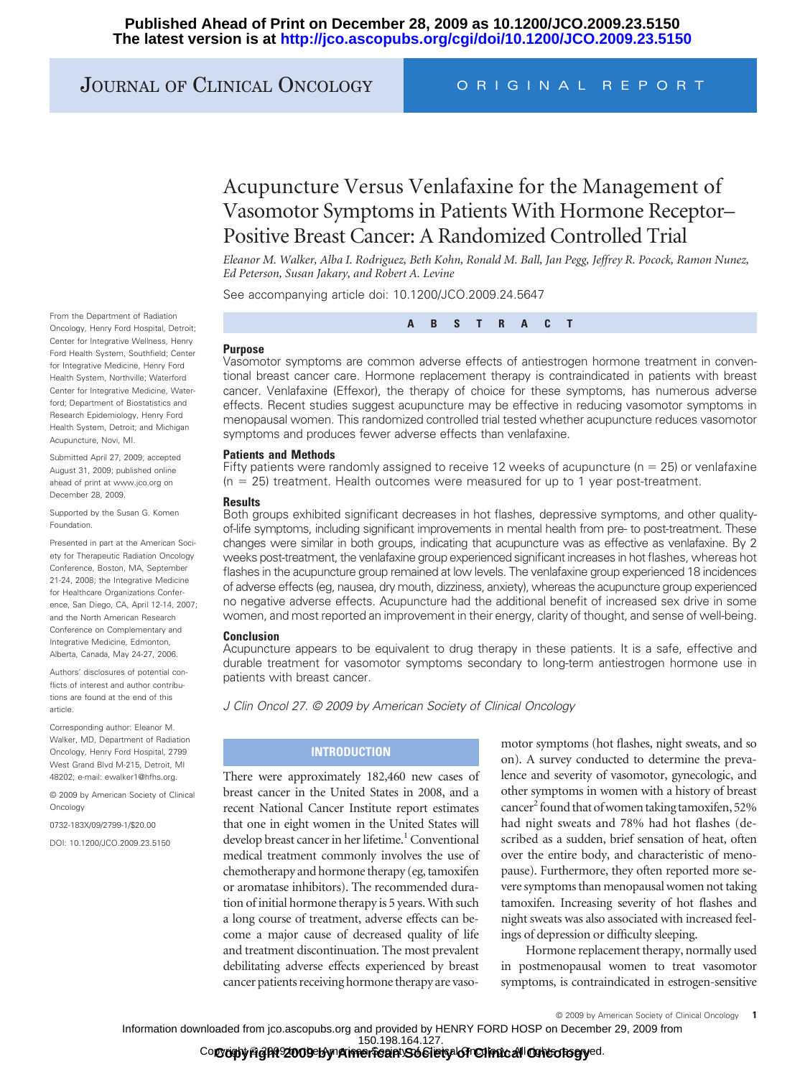# JOURNAL OF CLINICAL ONCOLOGY ORIGINAL REPORT

# Acupuncture Versus Venlafaxine for the Management of Vasomotor Symptoms in Patients With Hormone Receptor– Positive Breast Cancer: A Randomized Controlled Trial

*Eleanor M. Walker, Alba I. Rodriguez, Beth Kohn, Ronald M. Ball, Jan Pegg, Jeffrey R. Pocock, Ramon Nunez, Ed Peterson, Susan Jakary, and Robert A. Levine*

See accompanying article doi: 10.1200/JCO.2009.24.5647

**ABSTRACT**

#### **Purpose**

Vasomotor symptoms are common adverse effects of antiestrogen hormone treatment in conventional breast cancer care. Hormone replacement therapy is contraindicated in patients with breast cancer. Venlafaxine (Effexor), the therapy of choice for these symptoms, has numerous adverse effects. Recent studies suggest acupuncture may be effective in reducing vasomotor symptoms in menopausal women. This randomized controlled trial tested whether acupuncture reduces vasomotor symptoms and produces fewer adverse effects than venlafaxine.

#### **Patients and Methods**

Fifty patients were randomly assigned to receive 12 weeks of acupuncture ( $n = 25$ ) or venlafaxine  $(n = 25)$  treatment. Health outcomes were measured for up to 1 year post-treatment.

#### **Results**

Both groups exhibited significant decreases in hot flashes, depressive symptoms, and other qualityof-life symptoms, including significant improvements in mental health from pre- to post-treatment. These changes were similar in both groups, indicating that acupuncture was as effective as venlafaxine. By 2 weeks post-treatment, the venlafaxine group experienced significant increases in hot flashes, whereas hot flashes in the acupuncture group remained at low levels. The venlafaxine group experienced 18 incidences of adverse effects (eg, nausea, dry mouth, dizziness, anxiety), whereas the acupuncture group experienced no negative adverse effects. Acupuncture had the additional benefit of increased sex drive in some women, and most reported an improvement in their energy, clarity of thought, and sense of well-being.

#### **Conclusion**

Acupuncture appears to be equivalent to drug therapy in these patients. It is a safe, effective and durable treatment for vasomotor symptoms secondary to long-term antiestrogen hormone use in patients with breast cancer.

*J Clin Oncol 27. © 2009 by American Society of Clinical Oncology*

# **INTRODUCTION**

There were approximately 182,460 new cases of breast cancer in the United States in 2008, and a recent National Cancer Institute report estimates that one in eight women in the United States will develop breast cancer in her lifetime.<sup>1</sup> Conventional medical treatment commonly involves the use of chemotherapy and hormone therapy (eg, tamoxifen or aromatase inhibitors). The recommended duration of initial hormone therapy is 5 years. With such a long course of treatment, adverse effects can become a major cause of decreased quality of life and treatment discontinuation. The most prevalent debilitating adverse effects experienced by breast cancer patients receiving hormone therapy are vasomotor symptoms (hot flashes, night sweats, and so on). A survey conducted to determine the prevalence and severity of vasomotor, gynecologic, and other symptoms in women with a history of breast cancer<sup>2</sup> found that of women taking tamoxifen, 52% had night sweats and 78% had hot flashes (described as a sudden, brief sensation of heat, often over the entire body, and characteristic of menopause). Furthermore, they often reported more severe symptoms than menopausal women not taking tamoxifen. Increasing severity of hot flashes and night sweats was also associated with increased feelings of depression or difficulty sleeping.

Hormone replacement therapy, normally used in postmenopausal women to treat vasomotor symptoms, is contraindicated in estrogen-sensitive

From the Department of Radiation Oncology, Henry Ford Hospital, Detroit; Center for Integrative Wellness, Henry Ford Health System, Southfield; Center for Integrative Medicine, Henry Ford Health System, Northville; Waterford Center for Integrative Medicine, Waterford; Department of Biostatistics and Research Epidemiology, Henry Ford Health System, Detroit; and Michigan Acupuncture, Novi, MI.

Submitted April 27, 2009; accepted August 31, 2009; published online ahead of print at www.jco.org on December 28, 2009.

Supported by the Susan G. Komen Foundation.

Presented in part at the American Society for Therapeutic Radiation Oncology Conference, Boston, MA, September 21-24, 2008; the Integrative Medicine for Healthcare Organizations Conference, San Diego, CA, April 12-14, 2007<sup>-</sup> and the North American Research Conference on Complementary and Integrative Medicine, Edmonton, Alberta, Canada, May 24-27, 2006.

Authors' disclosures of potential conflicts of interest and author contributions are found at the end of this article.

Corresponding author: Eleanor M. Walker, MD, Department of Radiation Oncology, Henry Ford Hospital, 2799 West Grand Blvd M-215, Detroit, MI 48202; e-mail: ewalker1@hfhs.org.

© 2009 by American Society of Clinical **Oncology** 

0732-183X/09/2799-1/\$20.00

DOI: 10.1200/JCO.2009.23.5150

© 2009 by American Society of Clinical Oncology **1**

Information downloaded from jco.ascopubs.org and provided by HENRY FORD HOSP on December 29, 2009 from

Copyright @ 2009 by **American Society of Clinical Oncology**ed. 150.198.164.127.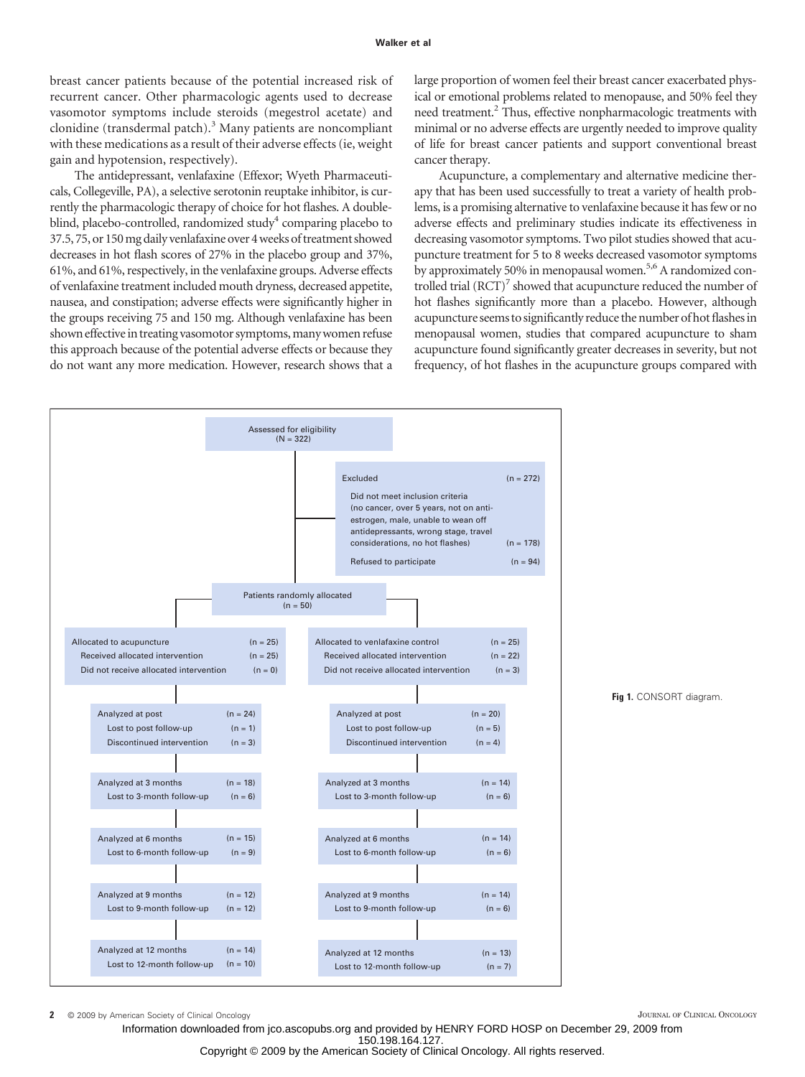breast cancer patients because of the potential increased risk of recurrent cancer. Other pharmacologic agents used to decrease vasomotor symptoms include steroids (megestrol acetate) and clonidine (transdermal patch).<sup>3</sup> Many patients are noncompliant with these medications as a result of their adverse effects (ie, weight gain and hypotension, respectively).

The antidepressant, venlafaxine (Effexor; Wyeth Pharmaceuticals, Collegeville, PA), a selective serotonin reuptake inhibitor, is currently the pharmacologic therapy of choice for hot flashes. A doubleblind, placebo-controlled, randomized study<sup>4</sup> comparing placebo to 37.5, 75, or 150 mg daily venlafaxine over 4 weeks of treatment showed decreases in hot flash scores of 27% in the placebo group and 37%, 61%, and 61%, respectively, in the venlafaxine groups. Adverse effects of venlafaxine treatment included mouth dryness, decreased appetite, nausea, and constipation; adverse effects were significantly higher in the groups receiving 75 and 150 mg. Although venlafaxine has been shown effective in treating vasomotor symptoms, many women refuse this approach because of the potential adverse effects or because they do not want any more medication. However, research shows that a large proportion of women feel their breast cancer exacerbated physical or emotional problems related to menopause, and 50% feel they need treatment.<sup>2</sup> Thus, effective nonpharmacologic treatments with minimal or no adverse effects are urgently needed to improve quality of life for breast cancer patients and support conventional breast cancer therapy.

Acupuncture, a complementary and alternative medicine therapy that has been used successfully to treat a variety of health problems, is a promising alternative to venlafaxine because it has few or no adverse effects and preliminary studies indicate its effectiveness in decreasing vasomotor symptoms. Two pilot studies showed that acupuncture treatment for 5 to 8 weeks decreased vasomotor symptoms by approximately 50% in menopausal women.<sup>5,6</sup> A randomized controlled trial  $(RCT)^7$  showed that acupuncture reduced the number of hot flashes significantly more than a placebo. However, although acupuncture seems to significantly reduce the number of hot flashes in menopausal women, studies that compared acupuncture to sham acupuncture found significantly greater decreases in severity, but not frequency, of hot flashes in the acupuncture groups compared with



**Fig 1.** CONSORT diagram.

**2** © 2009 by American Society of Clinical Oncology **JOURNAL OF CLINICAL ONCOLOGY** JOURNAL OF CLINICAL ONCOLOGY

150.198.164.127. Information downloaded from jco.ascopubs.org and provided by HENRY FORD HOSP on December 29, 2009 from

Copyright © 2009 by the American Society of Clinical Oncology. All rights reserved.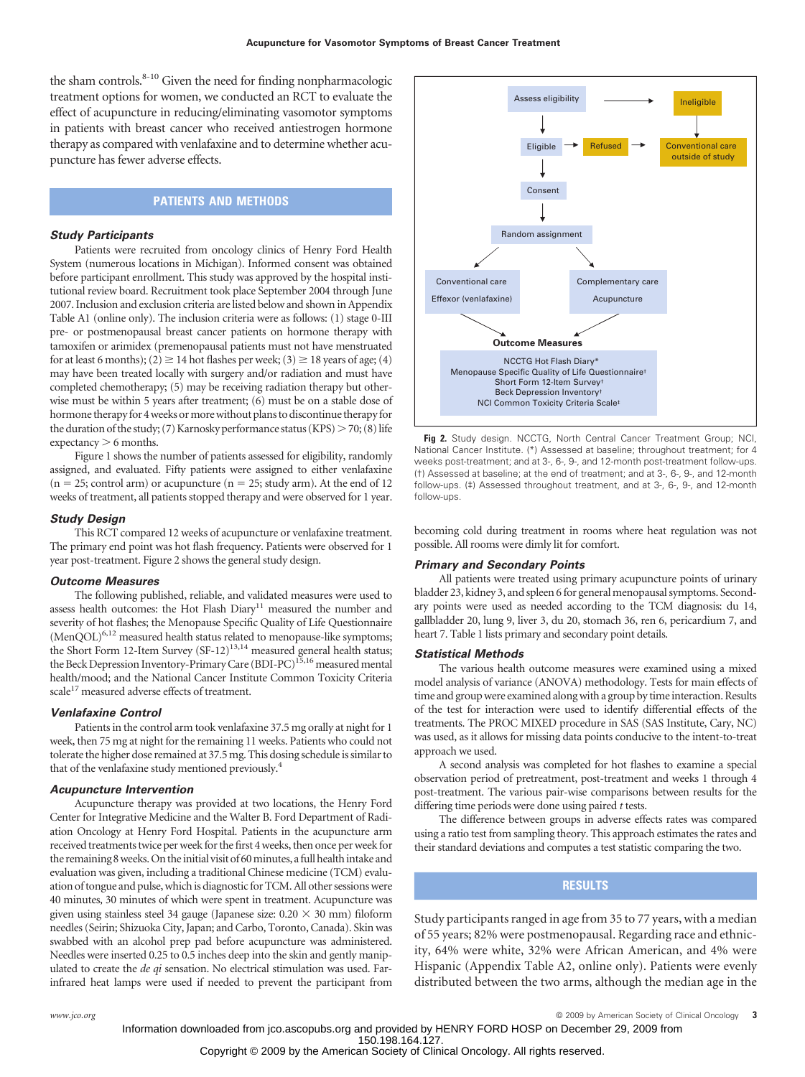the sham controls.<sup>8-10</sup> Given the need for finding nonpharmacologic treatment options for women, we conducted an RCT to evaluate the effect of acupuncture in reducing/eliminating vasomotor symptoms in patients with breast cancer who received antiestrogen hormone therapy as compared with venlafaxine and to determine whether acupuncture has fewer adverse effects.

# **PATIENTS AND METHODS**

#### *Study Participants*

Patients were recruited from oncology clinics of Henry Ford Health System (numerous locations in Michigan). Informed consent was obtained before participant enrollment. This study was approved by the hospital institutional review board. Recruitment took place September 2004 through June 2007. Inclusion and exclusion criteria are listed below and shown in Appendix Table A1 (online only). The inclusion criteria were as follows: (1) stage 0-III pre- or postmenopausal breast cancer patients on hormone therapy with tamoxifen or arimidex (premenopausal patients must not have menstruated for at least 6 months); (2)  $\geq$  14 hot flashes per week; (3)  $\geq$  18 years of age; (4) may have been treated locally with surgery and/or radiation and must have completed chemotherapy; (5) may be receiving radiation therapy but otherwise must be within 5 years after treatment; (6) must be on a stable dose of hormone therapy for 4 weeks or more without plans to discontinue therapy for the duration of the study; (7) Karnosky performance status (KPS)  $>$  70; (8) life  $expectancy > 6$  months.

Figure 1 shows the number of patients assessed for eligibility, randomly assigned, and evaluated. Fifty patients were assigned to either venlafaxine  $(n = 25;$  control arm) or acupuncture  $(n = 25;$  study arm). At the end of 12 weeks of treatment, all patients stopped therapy and were observed for 1 year.

#### *Study Design*

This RCT compared 12 weeks of acupuncture or venlafaxine treatment. The primary end point was hot flash frequency. Patients were observed for 1 year post-treatment. Figure 2 shows the general study design.

#### *Outcome Measures*

The following published, reliable, and validated measures were used to assess health outcomes: the Hot Flash  $Diary<sup>11</sup>$  measured the number and severity of hot flashes; the Menopause Specific Quality of Life Questionnaire  $(MenQOL)^{6,12}$  measured health status related to menopause-like symptoms; the Short Form 12-Item Survey  $(SF-12)^{13,14}$  measured general health status; the Beck Depression Inventory-Primary Care (BDI-PC)<sup>15,16</sup> measured mental health/mood; and the National Cancer Institute Common Toxicity Criteria  $\mathrm{scale}^{17}$  measured adverse effects of treatment.

#### *Venlafaxine Control*

Patients in the control arm took venlafaxine 37.5 mg orally at night for 1 week, then 75 mg at night for the remaining 11 weeks. Patients who could not tolerate the higher dose remained at 37.5 mg. This dosing schedule is similar to that of the venlafaxine study mentioned previously.4

#### *Acupuncture Intervention*

Acupuncture therapy was provided at two locations, the Henry Ford Center for Integrative Medicine and the Walter B. Ford Department of Radiation Oncology at Henry Ford Hospital. Patients in the acupuncture arm received treatments twice per week for the first 4 weeks, then once per week for the remaining 8 weeks. On the initial visit of 60 minutes, a full health intake and evaluation was given, including a traditional Chinese medicine (TCM) evaluation of tongue and pulse, which is diagnostic for TCM. All other sessions were 40 minutes, 30 minutes of which were spent in treatment. Acupuncture was given using stainless steel 34 gauge (Japanese size:  $0.20 \times 30$  mm) filoform needles (Seirin; Shizuoka City, Japan; and Carbo, Toronto, Canada). Skin was swabbed with an alcohol prep pad before acupuncture was administered. Needles were inserted 0.25 to 0.5 inches deep into the skin and gently manipulated to create the *de qi* sensation. No electrical stimulation was used. Farinfrared heat lamps were used if needed to prevent the participant from



**Fig 2.** Study design. NCCTG, North Central Cancer Treatment Group; NCI, National Cancer Institute. (\*) Assessed at baseline; throughout treatment; for 4 weeks post-treatment; and at 3-, 6-, 9-, and 12-month post-treatment follow-ups. (†) Assessed at baseline; at the end of treatment; and at 3-, 6-, 9-, and 12-month follow-ups. (‡) Assessed throughout treatment, and at 3-, 6-, 9-, and 12-month follow-ups.

becoming cold during treatment in rooms where heat regulation was not possible. All rooms were dimly lit for comfort.

#### *Primary and Secondary Points*

All patients were treated using primary acupuncture points of urinary bladder 23, kidney 3, and spleen 6 for general menopausal symptoms. Secondary points were used as needed according to the TCM diagnosis: du 14, gallbladder 20, lung 9, liver 3, du 20, stomach 36, ren 6, pericardium 7, and heart 7. Table 1 lists primary and secondary point details.

#### *Statistical Methods*

The various health outcome measures were examined using a mixed model analysis of variance (ANOVA) methodology. Tests for main effects of time and group were examined along with a group by time interaction. Results of the test for interaction were used to identify differential effects of the treatments. The PROC MIXED procedure in SAS (SAS Institute, Cary, NC) was used, as it allows for missing data points conducive to the intent-to-treat approach we used.

A second analysis was completed for hot flashes to examine a special observation period of pretreatment, post-treatment and weeks 1 through 4 post-treatment. The various pair-wise comparisons between results for the differing time periods were done using paired *t* tests.

The difference between groups in adverse effects rates was compared using a ratio test from sampling theory. This approach estimates the rates and their standard deviations and computes a test statistic comparing the two.

#### **RESULTS**

Study participants ranged in age from 35 to 77 years, with a median of 55 years; 82% were postmenopausal. Regarding race and ethnicity, 64% were white, 32% were African American, and 4% were Hispanic (Appendix Table A2, online only). Patients were evenly distributed between the two arms, although the median age in the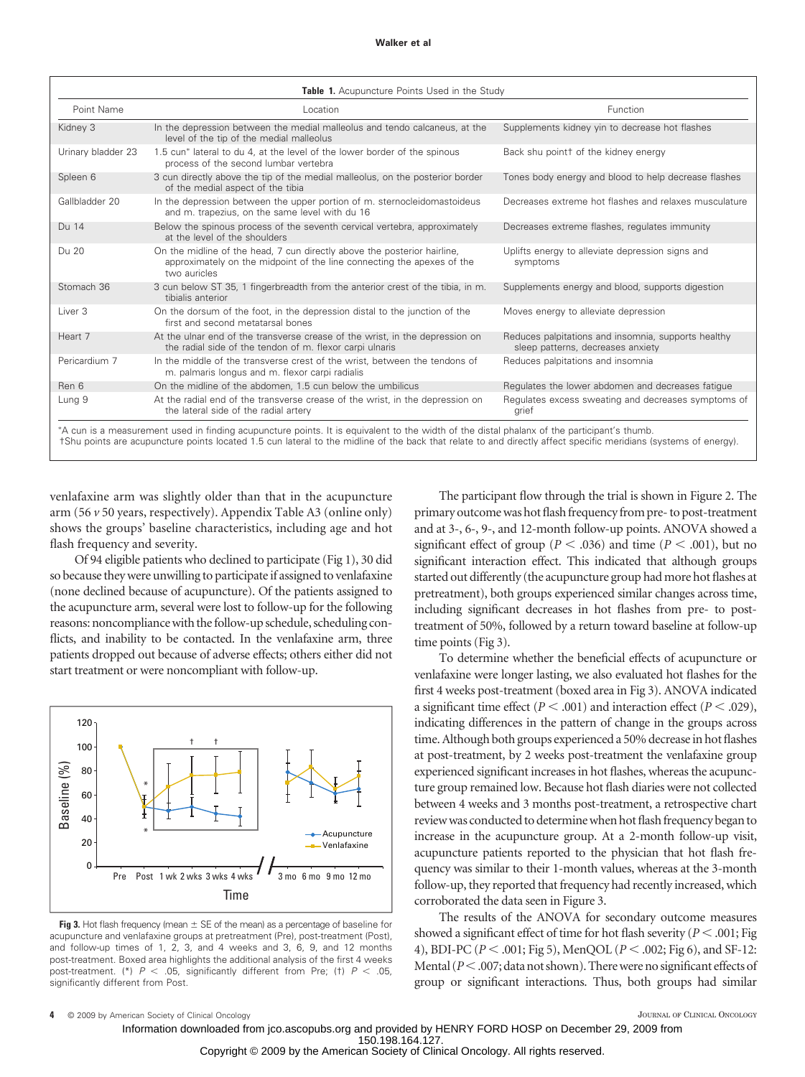| Point Name         | Location                                                                                                                                                           | Function                                                                                 |
|--------------------|--------------------------------------------------------------------------------------------------------------------------------------------------------------------|------------------------------------------------------------------------------------------|
| Kidney 3           | In the depression between the medial malleolus and tendo calcaneus, at the<br>level of the tip of the medial malleolus                                             | Supplements kidney yin to decrease hot flashes                                           |
| Urinary bladder 23 | 1.5 cun <sup>*</sup> lateral to du 4, at the level of the lower border of the spinous<br>process of the second lumbar vertebra                                     | Back shu pointt of the kidney energy                                                     |
| Spleen 6           | 3 cun directly above the tip of the medial malleolus, on the posterior border<br>of the medial aspect of the tibia                                                 | Tones body energy and blood to help decrease flashes                                     |
| Gallbladder 20     | In the depression between the upper portion of m. sternocleidomastoideus<br>and m. trapezius, on the same level with du 16                                         | Decreases extreme hot flashes and relaxes musculature                                    |
| Du 14              | Below the spinous process of the seventh cervical vertebra, approximately<br>at the level of the shoulders                                                         | Decreases extreme flashes, regulates immunity                                            |
| Du 20              | On the midline of the head, 7 cun directly above the posterior hairline,<br>approximately on the midpoint of the line connecting the apexes of the<br>two auricles | Uplifts energy to alleviate depression signs and<br>symptoms                             |
| Stomach 36         | 3 cun below ST 35, 1 fingerbreadth from the anterior crest of the tibia, in m.<br>tibialis anterior                                                                | Supplements energy and blood, supports digestion                                         |
| Liver <sub>3</sub> | On the dorsum of the foot, in the depression distal to the junction of the<br>first and second metatarsal bones                                                    | Moves energy to alleviate depression                                                     |
| Heart 7            | At the ulnar end of the transverse crease of the wrist, in the depression on<br>the radial side of the tendon of m. flexor carpi ulnaris                           | Reduces palpitations and insomnia, supports healthy<br>sleep patterns, decreases anxiety |
| Pericardium 7      | In the middle of the transverse crest of the wrist, between the tendons of<br>m. palmaris longus and m. flexor carpi radialis                                      | Reduces palpitations and insomnia                                                        |
| Ren 6              | On the midline of the abdomen, 1.5 cun below the umbilicus                                                                                                         | Regulates the lower abdomen and decreases fatigue                                        |
| Lung 9             | At the radial end of the transverse crease of the wrist, in the depression on<br>the lateral side of the radial artery                                             | Regulates excess sweating and decreases symptoms of<br>grief                             |

venlafaxine arm was slightly older than that in the acupuncture arm (56 *v* 50 years, respectively). Appendix Table A3 (online only) shows the groups' baseline characteristics, including age and hot flash frequency and severity.

Of 94 eligible patients who declined to participate (Fig 1), 30 did so because they were unwilling to participate if assigned to venlafaxine (none declined because of acupuncture). Of the patients assigned to the acupuncture arm, several were lost to follow-up for the following reasons: noncompliance with the follow-up schedule, scheduling conflicts, and inability to be contacted. In the venlafaxine arm, three patients dropped out because of adverse effects; others either did not start treatment or were noncompliant with follow-up.



**Fig 3.** Hot flash frequency (mean  $\pm$  SE of the mean) as a percentage of baseline for acupuncture and venlafaxine groups at pretreatment (Pre), post-treatment (Post), and follow-up times of 1, 2, 3, and 4 weeks and 3, 6, 9, and 12 months post-treatment. Boxed area highlights the additional analysis of the first 4 weeks post-treatment. (\*) *P* .05, significantly different from Pre; (†) *P* .05, significantly different from Post.

The participant flow through the trial is shown in Figure 2. The primary outcome was hot flash frequency from pre- to post-treatment and at 3-, 6-, 9-, and 12-month follow-up points. ANOVA showed a significant effect of group ( $P < .036$ ) and time ( $P < .001$ ), but no significant interaction effect. This indicated that although groups started out differently (the acupuncture group had more hot flashes at pretreatment), both groups experienced similar changes across time, including significant decreases in hot flashes from pre- to posttreatment of 50%, followed by a return toward baseline at follow-up time points (Fig 3).

To determine whether the beneficial effects of acupuncture or venlafaxine were longer lasting, we also evaluated hot flashes for the first 4 weeks post-treatment (boxed area in Fig 3). ANOVA indicated a significant time effect ( $P < .001$ ) and interaction effect ( $P < .029$ ), indicating differences in the pattern of change in the groups across time. Although both groups experienced a 50% decrease in hot flashes at post-treatment, by 2 weeks post-treatment the venlafaxine group experienced significant increases in hot flashes, whereas the acupuncture group remained low. Because hot flash diaries were not collected between 4 weeks and 3 months post-treatment, a retrospective chart review was conducted to determine when hot flash frequency began to increase in the acupuncture group. At a 2-month follow-up visit, acupuncture patients reported to the physician that hot flash frequency was similar to their 1-month values, whereas at the 3-month follow-up, they reported that frequency had recently increased, which corroborated the data seen in Figure 3.

The results of the ANOVA for secondary outcome measures showed a significant effect of time for hot flash severity ( $P < .001$ ; Fig. 4), BDI-PC (*P* < .001; Fig 5), MenQOL (*P* < .002; Fig 6), and SF-12: Mental ( $P < .007$ ; data not shown). There were no significant effects of group or significant interactions. Thus, both groups had similar

**4** © 2009 by American Society of Clinical Oncology JOURNAL OF CLINICAL ONCOLOGY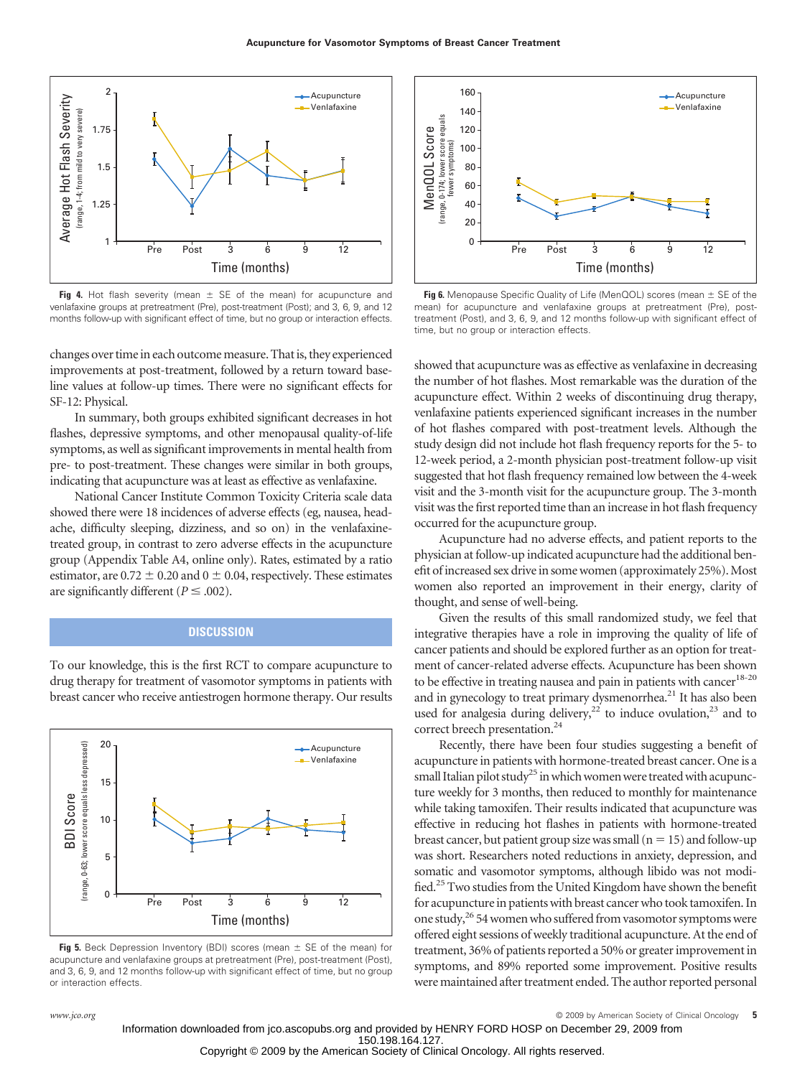

**Fig 4.** Hot flash severity (mean  $\pm$  SE of the mean) for acupuncture and venlafaxine groups at pretreatment (Pre), post-treatment (Post); and 3, 6, 9, and 12 months follow-up with significant effect of time, but no group or interaction effects.

changes over time in each outcome measure. That is, they experienced improvements at post-treatment, followed by a return toward baseline values at follow-up times. There were no significant effects for SF-12: Physical.

In summary, both groups exhibited significant decreases in hot flashes, depressive symptoms, and other menopausal quality-of-life symptoms, as well as significant improvements in mental health from pre- to post-treatment. These changes were similar in both groups, indicating that acupuncture was at least as effective as venlafaxine.

National Cancer Institute Common Toxicity Criteria scale data showed there were 18 incidences of adverse effects (eg, nausea, headache, difficulty sleeping, dizziness, and so on) in the venlafaxinetreated group, in contrast to zero adverse effects in the acupuncture group (Appendix Table A4, online only). Rates, estimated by a ratio estimator, are  $0.72 \pm 0.20$  and  $0 \pm 0.04$ , respectively. These estimates are significantly different ( $P \leq .002$ ).

# **DISCUSSION**

To our knowledge, this is the first RCT to compare acupuncture to drug therapy for treatment of vasomotor symptoms in patients with breast cancer who receive antiestrogen hormone therapy. Our results



**Fig 5.** Beck Depression Inventory (BDI) scores (mean  $\pm$  SE of the mean) for acupuncture and venlafaxine groups at pretreatment (Pre), post-treatment (Post), and 3, 6, 9, and 12 months follow-up with significant effect of time, but no group or interaction effects.



**Fig 6.** Menopause Specific Quality of Life (MenQOL) scores (mean  $\pm$  SE of the mean) for acupuncture and venlafaxine groups at pretreatment (Pre), posttreatment (Post), and 3, 6, 9, and 12 months follow-up with significant effect of time, but no group or interaction effects.

showed that acupuncture was as effective as venlafaxine in decreasing the number of hot flashes. Most remarkable was the duration of the acupuncture effect. Within 2 weeks of discontinuing drug therapy, venlafaxine patients experienced significant increases in the number of hot flashes compared with post-treatment levels. Although the study design did not include hot flash frequency reports for the 5- to 12-week period, a 2-month physician post-treatment follow-up visit suggested that hot flash frequency remained low between the 4-week visit and the 3-month visit for the acupuncture group. The 3-month visit was the first reported time than an increase in hot flash frequency occurred for the acupuncture group.

Acupuncture had no adverse effects, and patient reports to the physician at follow-up indicated acupuncture had the additional benefit of increased sex drive in some women (approximately 25%). Most women also reported an improvement in their energy, clarity of thought, and sense of well-being.

Given the results of this small randomized study, we feel that integrative therapies have a role in improving the quality of life of cancer patients and should be explored further as an option for treatment of cancer-related adverse effects. Acupuncture has been shown to be effective in treating nausea and pain in patients with cancer $18-20$ and in gynecology to treat primary dysmenorrhea.<sup>21</sup> It has also been used for analgesia during delivery,<sup>22</sup> to induce ovulation,<sup>23</sup> and to correct breech presentation.<sup>24</sup>

Recently, there have been four studies suggesting a benefit of acupuncture in patients with hormone-treated breast cancer. One is a small Italian pilot study<sup>25</sup> in which women were treated with acupuncture weekly for 3 months, then reduced to monthly for maintenance while taking tamoxifen. Their results indicated that acupuncture was effective in reducing hot flashes in patients with hormone-treated breast cancer, but patient group size was small ( $n = 15$ ) and follow-up was short. Researchers noted reductions in anxiety, depression, and somatic and vasomotor symptoms, although libido was not modified.25 Two studies from the United Kingdom have shown the benefit for acupuncture in patients with breast cancer who took tamoxifen. In one study,<sup>26</sup> 54 women who suffered from vasomotor symptoms were offered eight sessions of weekly traditional acupuncture. At the end of treatment, 36% of patients reported a 50% or greater improvement in symptoms, and 89% reported some improvement. Positive results were maintained after treatment ended. The author reported personal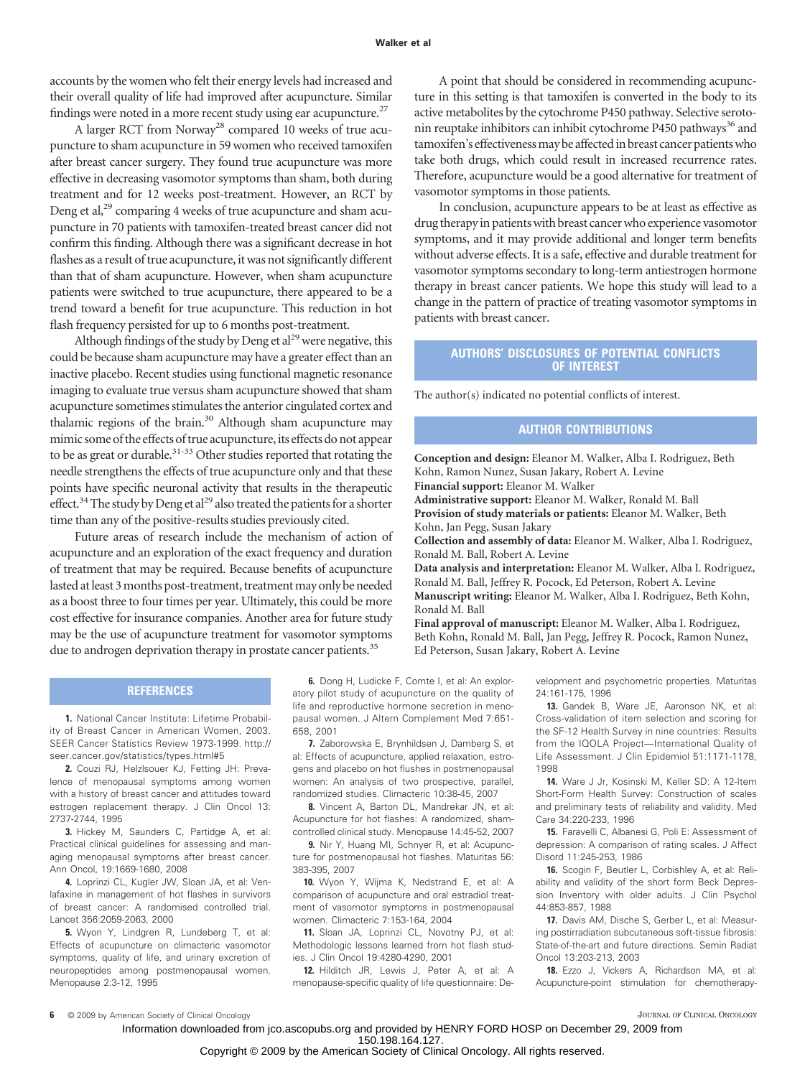accounts by the women who felt their energy levels had increased and their overall quality of life had improved after acupuncture. Similar findings were noted in a more recent study using ear acupuncture.<sup>27</sup>

A larger RCT from Norway<sup>28</sup> compared 10 weeks of true acupuncture to sham acupuncture in 59 women who received tamoxifen after breast cancer surgery. They found true acupuncture was more effective in decreasing vasomotor symptoms than sham, both during treatment and for 12 weeks post-treatment. However, an RCT by Deng et al,<sup>29</sup> comparing 4 weeks of true acupuncture and sham acupuncture in 70 patients with tamoxifen-treated breast cancer did not confirm this finding. Although there was a significant decrease in hot flashes as a result of true acupuncture, it was not significantly different than that of sham acupuncture. However, when sham acupuncture patients were switched to true acupuncture, there appeared to be a trend toward a benefit for true acupuncture. This reduction in hot flash frequency persisted for up to 6 months post-treatment.

Although findings of the study by Deng et  $al^{29}$  were negative, this could be because sham acupuncture may have a greater effect than an inactive placebo. Recent studies using functional magnetic resonance imaging to evaluate true versus sham acupuncture showed that sham acupuncture sometimes stimulates the anterior cingulated cortex and thalamic regions of the brain.<sup>30</sup> Although sham acupuncture may mimic some of the effects of true acupuncture, its effects do not appear to be as great or durable.<sup>31-33</sup> Other studies reported that rotating the needle strengthens the effects of true acupuncture only and that these points have specific neuronal activity that results in the therapeutic effect.<sup>34</sup> The study by Deng et al<sup>29</sup> also treated the patients for a shorter time than any of the positive-results studies previously cited.

Future areas of research include the mechanism of action of acupuncture and an exploration of the exact frequency and duration of treatment that may be required. Because benefits of acupuncture lasted at least 3 months post-treatment, treatment may only be needed as a boost three to four times per year. Ultimately, this could be more cost effective for insurance companies. Another area for future study may be the use of acupuncture treatment for vasomotor symptoms due to androgen deprivation therapy in prostate cancer patients.<sup>35</sup>

# **REFERENCES**

**1.** National Cancer Institute: Lifetime Probability of Breast Cancer in American Women, 2003. SEER Cancer Statistics Review 1973-1999. http:// seer.cancer.gov/statistics/types.html#5

**2.** Couzi RJ, Helzlsouer KJ, Fetting JH: Prevalence of menopausal symptoms among women with a history of breast cancer and attitudes toward estrogen replacement therapy. J Clin Oncol 13: 2737-2744, 1995

**3.** Hickey M, Saunders C, Partidge A, et al: Practical clinical guidelines for assessing and managing menopausal symptoms after breast cancer. Ann Oncol, 19:1669-1680, 2008

**4.** Loprinzi CL, Kugler JW, Sloan JA, et al: Venlafaxine in management of hot flashes in survivors of breast cancer: A randomised controlled trial. Lancet 356:2059-2063, 2000

**5.** Wyon Y, Lindgren R, Lundeberg T, et al: Effects of acupuncture on climacteric vasomotor symptoms, quality of life, and urinary excretion of neuropeptides among postmenopausal women. Menopause 2:3-12, 1995

A point that should be considered in recommending acupuncture in this setting is that tamoxifen is converted in the body to its active metabolites by the cytochrome P450 pathway. Selective serotonin reuptake inhibitors can inhibit cytochrome  $P450$  pathways<sup>36</sup> and tamoxifen's effectiveness may be affected in breast cancer patients who take both drugs, which could result in increased recurrence rates. Therefore, acupuncture would be a good alternative for treatment of vasomotor symptoms in those patients.

In conclusion, acupuncture appears to be at least as effective as drug therapy in patients with breast cancer who experience vasomotor symptoms, and it may provide additional and longer term benefits without adverse effects. It is a safe, effective and durable treatment for vasomotor symptoms secondary to long-term antiestrogen hormone therapy in breast cancer patients. We hope this study will lead to a change in the pattern of practice of treating vasomotor symptoms in patients with breast cancer.

### **AUTHORS' DISCLOSURES OF POTENTIAL CONFLICTS OF INTEREST**

The author(s) indicated no potential conflicts of interest.

# **AUTHOR CONTRIBUTIONS**

**Conception and design:** Eleanor M. Walker, Alba I. Rodriguez, Beth Kohn, Ramon Nunez, Susan Jakary, Robert A. Levine **Financial support:** Eleanor M. Walker

**Administrative support:** Eleanor M. Walker, Ronald M. Ball **Provision of study materials or patients:** Eleanor M. Walker, Beth Kohn, Jan Pegg, Susan Jakary

**Collection and assembly of data:** Eleanor M. Walker, Alba I. Rodriguez, Ronald M. Ball, Robert A. Levine

**Data analysis and interpretation:** Eleanor M. Walker, Alba I. Rodriguez, Ronald M. Ball, Jeffrey R. Pocock, Ed Peterson, Robert A. Levine **Manuscript writing:** Eleanor M. Walker, Alba I. Rodriguez, Beth Kohn, Ronald M. Ball

**Final approval of manuscript:** Eleanor M. Walker, Alba I. Rodriguez, Beth Kohn, Ronald M. Ball, Jan Pegg, Jeffrey R. Pocock, Ramon Nunez, Ed Peterson, Susan Jakary, Robert A. Levine

**6.** Dong H, Ludicke F, Comte I, et al: An exploratory pilot study of acupuncture on the quality of life and reproductive hormone secretion in menopausal women. J Altern Complement Med 7:651- 658, 2001

**7.** Zaborowska E, Brynhildsen J, Damberg S, et al: Effects of acupuncture, applied relaxation, estrogens and placebo on hot flushes in postmenopausal women: An analysis of two prospective, parallel, randomized studies. Climacteric 10:38-45, 2007

**8.** Vincent A, Barton DL, Mandrekar JN, et al: Acupuncture for hot flashes: A randomized, shamcontrolled clinical study. Menopause 14:45-52, 2007

**9.** Nir Y, Huang MI, Schnyer R, et al: Acupuncture for postmenopausal hot flashes. Maturitas 56: 383-395, 2007

**10.** Wyon Y, Wijma K, Nedstrand E, et al: A comparison of acupuncture and oral estradiol treatment of vasomotor symptoms in postmenopausal women. Climacteric 7:153-164, 2004

**11.** Sloan JA, Loprinzi CL, Novotny PJ, et al: Methodologic lessons learned from hot flash studies. J Clin Oncol 19:4280-4290, 2001

**12.** Hilditch JR, Lewis J, Peter A, et al: A menopause-specific quality of life questionnaire: Development and psychometric properties. Maturitas 24:161-175, 1996

**13.** Gandek B, Ware JE, Aaronson NK, et al: Cross-validation of item selection and scoring for the SF-12 Health Survey in nine countries: Results from the IQOLA Project—International Quality of Life Assessment. J Clin Epidemiol 51:1171-1178, 1998

**14.** Ware J Jr, Kosinski M, Keller SD: A 12-Item Short-Form Health Survey: Construction of scales and preliminary tests of reliability and validity. Med Care 34:220-233, 1996

**15.** Faravelli C, Albanesi G, Poli E: Assessment of depression: A comparison of rating scales. J Affect Disord 11:245-253, 1986

**16.** Scogin F, Beutler L, Corbishley A, et al: Reliability and validity of the short form Beck Depression Inventory with older adults. J Clin Psychol 44:853-857, 1988

**17.** Davis AM, Dische S, Gerber L, et al: Measuring postirradiation subcutaneous soft-tissue fibrosis: State-of-the-art and future directions. Semin Radiat Oncol 13:203-213, 2003

**18.** Ezzo J, Vickers A, Richardson MA, et al: Acupuncture-point stimulation for chemotherapy-

**6** © 2009 by American Society of Clinical Oncology **JOURNAL OF CLINICAL ONCOLOGY** JOURNAL OF CLINICAL ONCOLOGY

150.198.164.127.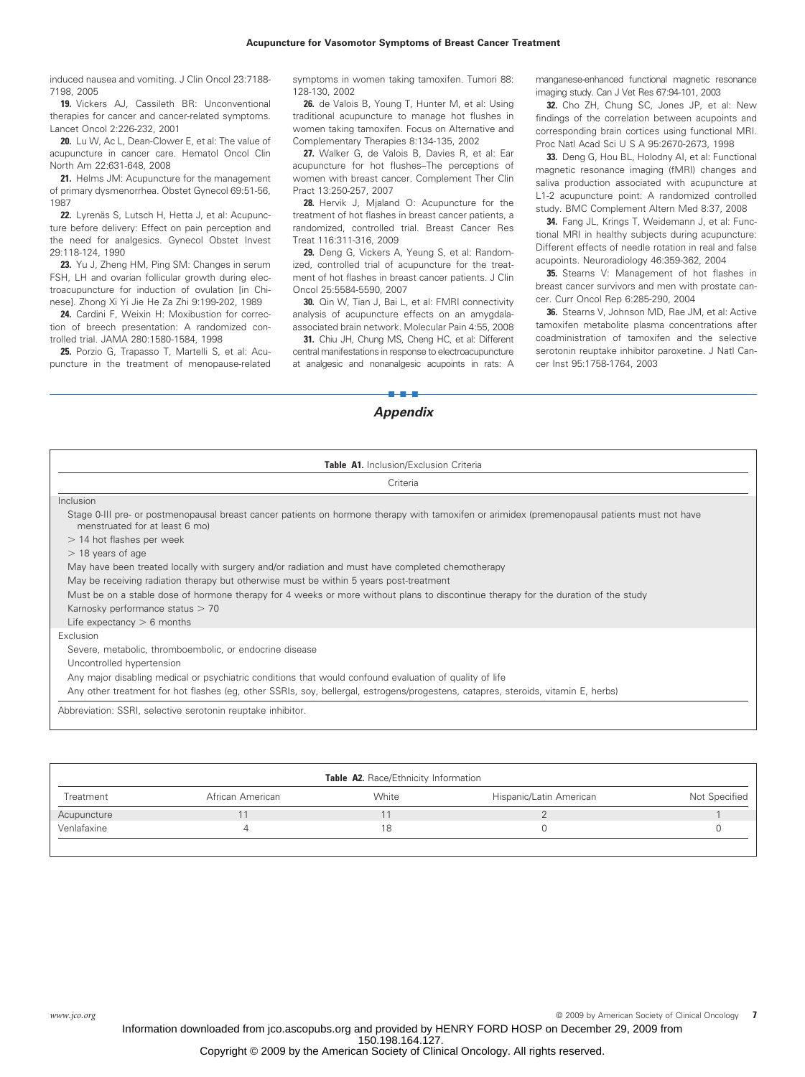induced nausea and vomiting. J Clin Oncol 23:7188- 7198, 2005

**19.** Vickers AJ, Cassileth BR: Unconventional theranies for cancer and cancer-related symptoms. Lancet Oncol 2:226-232, 2001

**20.** Lu W, Ac L, Dean-Clower E, et al: The value of acupuncture in cancer care. Hematol Oncol Clin North Am 22:631-648, 2008

**21.** Helms JM: Acupuncture for the management of primary dysmenorrhea. Obstet Gynecol 69:51-56, 1987

22. Lyrenäs S, Lutsch H, Hetta J, et al: Acupuncture before delivery: Effect on pain perception and the need for analgesics. Gynecol Obstet Invest 29:118-124, 1990

**23.** Yu J, Zheng HM, Ping SM: Changes in serum FSH. LH and ovarian follicular growth during electroacupuncture for induction of ovulation [in Chinese]. Zhong Xi Yi Jie He Za Zhi 9:199-202, 1989

**24.** Cardini F, Weixin H: Moxibustion for correction of breech presentation: A randomized controlled trial. JAMA 280:1580-1584, 1998

**25.** Porzio G, Trapasso T, Martelli S, et al: Acupuncture in the treatment of menopause-related symptoms in women taking tamoxifen. Tumori 88: 128-130, 2002

**26.** de Valois B, Young T, Hunter M, et al: Using traditional acupuncture to manage hot flushes in women taking tamoxifen. Focus on Alternative and Complementary Therapies 8:134-135, 2002

**27.** Walker G, de Valois B, Davies R, et al: Ear acupuncture for hot flushes–The perceptions of women with breast cancer. Complement Ther Clin Pract 13:250-257, 2007

**28.** Hervik J, Mjaland O: Acupuncture for the treatment of hot flashes in breast cancer patients, a randomized, controlled trial. Breast Cancer Res Treat 116:311-316, 2009

**29.** Deng G, Vickers A, Yeung S, et al: Randomized, controlled trial of acupuncture for the treatment of hot flashes in breast cancer patients. J Clin Oncol 25:5584-5590, 2007

**30.** Qin W, Tian J, Bai L, et al: FMRI connectivity analysis of acupuncture effects on an amygdalaassociated brain network. Molecular Pain 4:55, 2008

**31.** Chiu JH, Chung MS, Cheng HC, et al: Different central manifestations in response to electroacupuncture at analgesic and nonanalgesic acupoints in rats: A manganese-enhanced functional magnetic resonance imaging study. Can J Vet Res 67:94-101, 2003

**32.** Cho ZH, Chung SC, Jones JP, et al: New findings of the correlation between acupoints and corresponding brain cortices using functional MRI. Proc Natl Acad Sci U S A 95:2670-2673, 1998

**33.** Deng G, Hou BL, Holodny AI, et al: Functional magnetic resonance imaging (fMRI) changes and saliva production associated with acupuncture at L1-2 acupuncture point: A randomized controlled study. BMC Complement Altern Med 8:37, 2008

**34.** Fang JL, Krings T, Weidemann J, et al: Functional MRI in healthy subjects during acupuncture: Different effects of needle rotation in real and false acupoints. Neuroradiology 46:359-362, 2004

**35.** Stearns V: Management of hot flashes in breast cancer survivors and men with prostate cancer. Curr Oncol Rep 6:285-290, 2004

**36.** Stearns V, Johnson MD, Rae JM, et al: Active tamoxifen metabolite plasma concentrations after coadministration of tamoxifen and the selective serotonin reuptake inhibitor paroxetine. J Natl Cancer Inst 95:1758-1764, 2003

### ■■■ *Appendix*

| <b>Table A1.</b> Inclusion/Exclusion Criteria                                                                                                                                   |  |  |  |
|---------------------------------------------------------------------------------------------------------------------------------------------------------------------------------|--|--|--|
| Criteria                                                                                                                                                                        |  |  |  |
| Inclusion                                                                                                                                                                       |  |  |  |
| Stage 0-III pre- or postmenopausal breast cancer patients on hormone therapy with tamoxifen or arimidex (premenopausal patients must not have<br>menstruated for at least 6 mo) |  |  |  |
| $>$ 14 hot flashes per week                                                                                                                                                     |  |  |  |
| $>$ 18 years of age                                                                                                                                                             |  |  |  |
| May have been treated locally with surgery and/or radiation and must have completed chemotherapy                                                                                |  |  |  |
| May be receiving radiation therapy but otherwise must be within 5 years post-treatment                                                                                          |  |  |  |
| Must be on a stable dose of hormone therapy for 4 weeks or more without plans to discontinue therapy for the duration of the study                                              |  |  |  |
| Karnosky performance status > 70                                                                                                                                                |  |  |  |
| Life expectancy $> 6$ months                                                                                                                                                    |  |  |  |
| Exclusion                                                                                                                                                                       |  |  |  |
| Severe, metabolic, thromboembolic, or endocrine disease                                                                                                                         |  |  |  |
| Uncontrolled hypertension                                                                                                                                                       |  |  |  |
| Any major disabling medical or psychiatric conditions that would confound evaluation of quality of life                                                                         |  |  |  |
| Any other treatment for hot flashes (eg, other SSRIs, soy, bellergal, estrogens/progestens, catapres, steroids, vitamin E, herbs)                                               |  |  |  |
| Abbreviation: SSRI, selective serotonin reuptake inhibitor.                                                                                                                     |  |  |  |

|             |                  | Table A2. Race/Ethnicity Information |                         |               |
|-------------|------------------|--------------------------------------|-------------------------|---------------|
| Treatment   | African American | White                                | Hispanic/Latin American | Not Specified |
| Acupuncture |                  |                                      |                         |               |
| Venlafaxine |                  | 18                                   |                         |               |
|             |                  |                                      |                         |               |